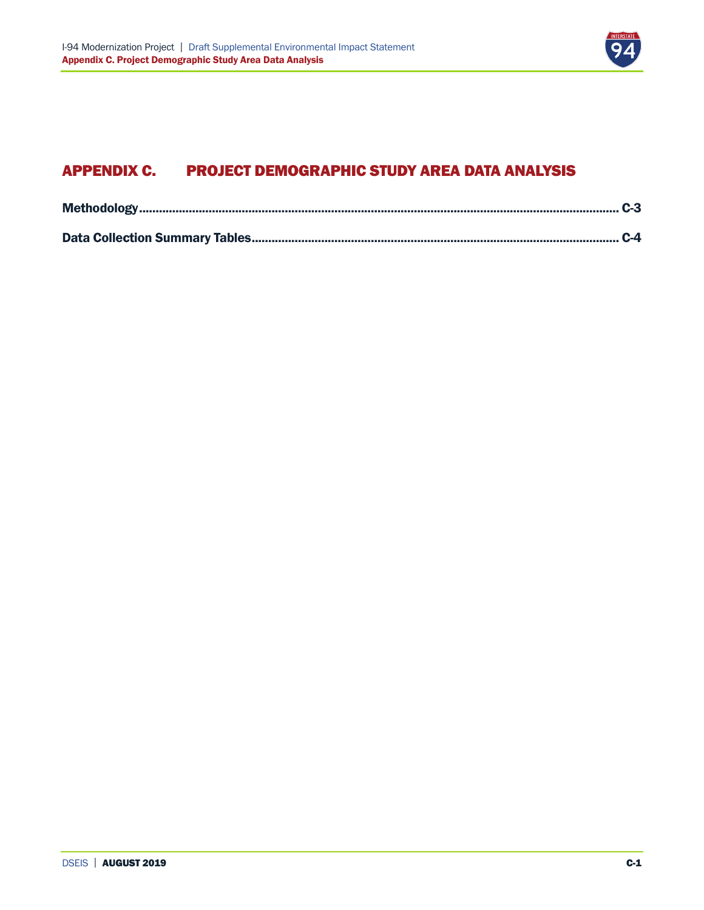

# APPENDIX C. PROJECT DEMOGRAPHIC STUDY AREA DATA ANALYSIS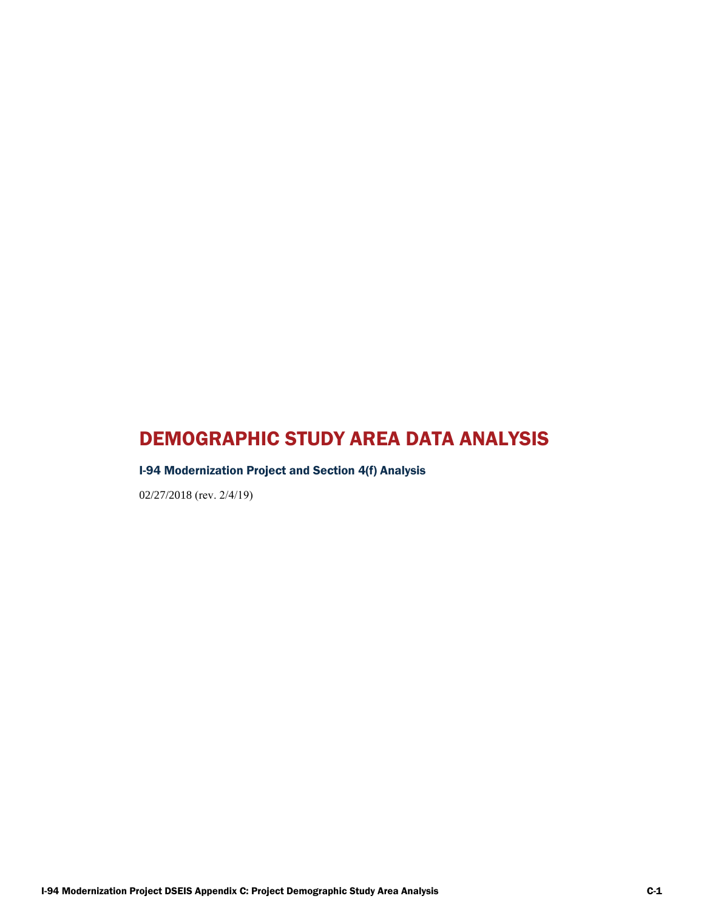# DEMOGRAPHIC STUDY AREA DATA ANALYSIS

## I-94 Modernization Project and Section 4(f) Analysis

02/27/2018 (rev. 2/4/19)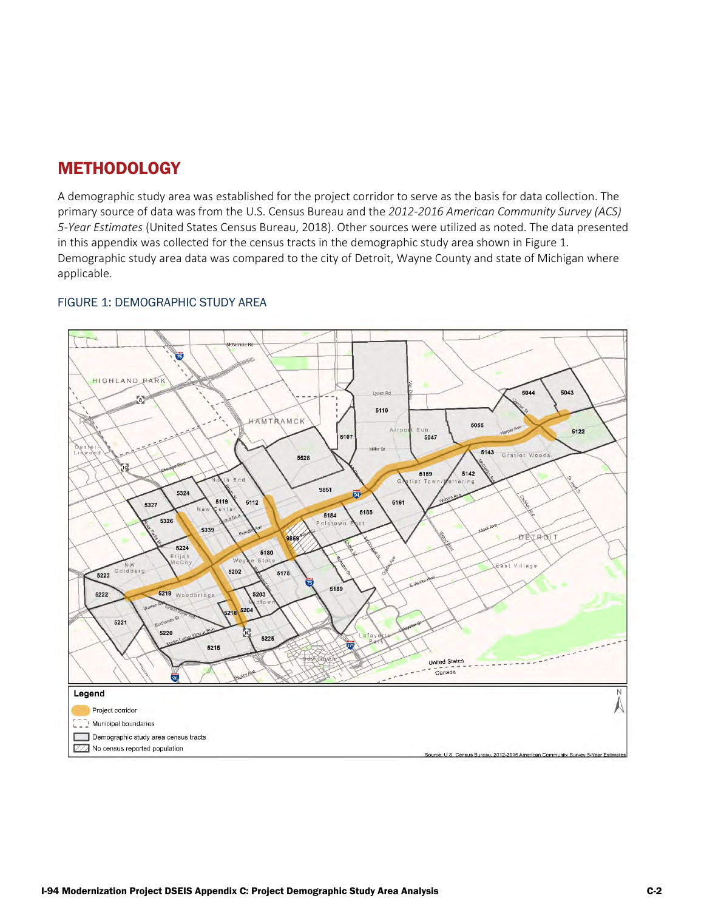# <span id="page-2-0"></span>**METHODOLOGY**

A demographic study area was established for the project corridor to serve as the basis for data collection. The primary source of data was from the U.S. Census Bureau and the *2012-2016 American Community Survey (ACS) 5-Year Estimates* (United States Census Bureau, 2018). Other sources were utilized as noted. The data presented in this appendix was collected for the census tracts in the demographic study area shown in Figure 1. Demographic study area data was compared to the city of Detroit, Wayne County and state of Michigan where applicable.

#### FIGURE 1: DEMOGRAPHIC STUDY AREA

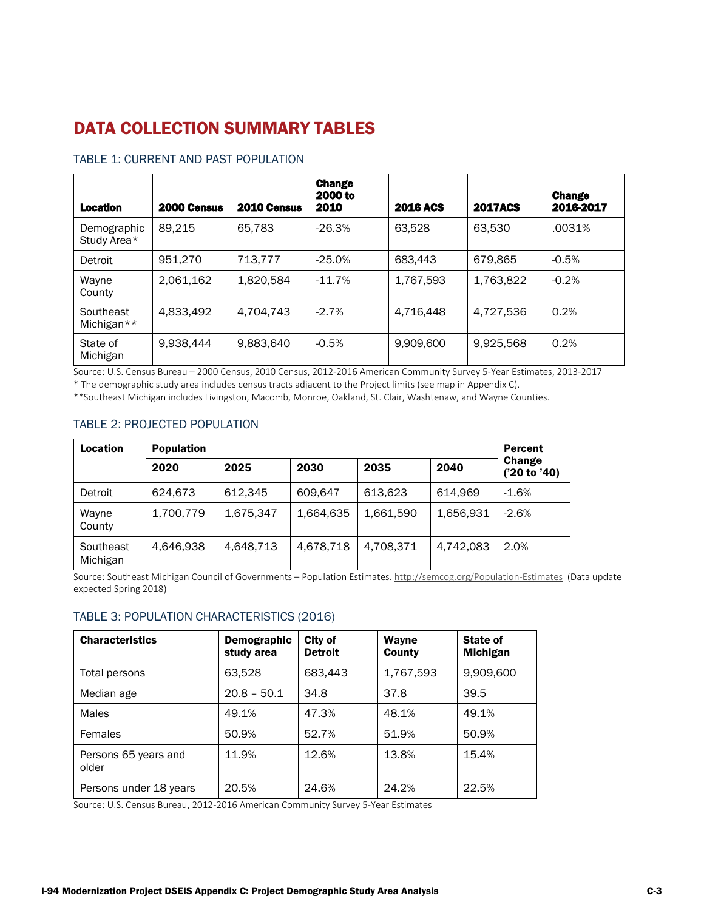# <span id="page-3-0"></span>DATA COLLECTION SUMMARY TABLES

| <b>Location</b>            | 2000 Census | 2010 Census | <b>Change</b><br>2000 to<br>2010 | <b>2016 ACS</b> | <b>2017ACS</b> | <b>Change</b><br>2016-2017 |
|----------------------------|-------------|-------------|----------------------------------|-----------------|----------------|----------------------------|
| Demographic<br>Study Area* | 89.215      | 65.783      | $-26.3%$                         | 63.528          | 63,530         | .0031%                     |
| Detroit                    | 951.270     | 713.777     | $-25.0%$                         | 683.443         | 679.865        | $-0.5%$                    |
| Wayne<br>County            | 2.061.162   | 1.820.584   | $-11.7%$                         | 1,767,593       | 1,763,822      | $-0.2%$                    |
| Southeast<br>Michigan**    | 4,833,492   | 4.704.743   | $-2.7%$                          | 4,716,448       | 4,727,536      | 0.2%                       |
| State of<br>Michigan       | 9.938.444   | 9.883.640   | $-0.5%$                          | 9,909,600       | 9.925.568      | 0.2%                       |

#### TABLE 1: CURRENT AND PAST POPULATION

Source: U.S. Census Bureau – 2000 Census, 2010 Census, 2012-2016 American Community Survey 5-Year Estimates, 2013-2017

\* The demographic study area includes census tracts adjacent to the Project limits (see map in Appendix C).

\*\*Southeast Michigan includes Livingston, Macomb, Monroe, Oakland, St. Clair, Washtenaw, and Wayne Counties.

#### TABLE 2: PROJECTED POPULATION

| <b>Location</b>       | <b>Population</b> |           |           |           |           | Percent                |
|-----------------------|-------------------|-----------|-----------|-----------|-----------|------------------------|
|                       | 2020              | 2025      | 2030      | 2035      | 2040      | Change<br>('20 to '40) |
| Detroit               | 624.673           | 612.345   | 609.647   | 613.623   | 614.969   | $-1.6%$                |
| Wayne<br>County       | 1,700,779         | 1,675,347 | 1,664,635 | 1,661,590 | 1,656,931 | $-2.6%$                |
| Southeast<br>Michigan | 4.646.938         | 4.648.713 | 4,678,718 | 4,708,371 | 4.742.083 | 2.0%                   |

Source: Southeast Michigan Council of Governments – Population Estimates. <http://semcog.org/Population-Estimates>(Data update expected Spring 2018)

#### TABLE 3: POPULATION CHARACTERISTICS (2016)

| <b>Characteristics</b>        | Demographic<br>study area | City of<br><b>Detroit</b> | Wayne<br>County | <b>State of</b><br><b>Michigan</b> |
|-------------------------------|---------------------------|---------------------------|-----------------|------------------------------------|
| Total persons                 | 63,528                    | 683,443                   | 1,767,593       | 9,909,600                          |
| Median age                    | $20.8 - 50.1$             | 34.8                      | 37.8            | 39.5                               |
| <b>Males</b>                  | 49.1%                     | 47.3%                     | 48.1%           | 49.1%                              |
| Females                       | 50.9%                     | 52.7%                     | 51.9%           | 50.9%                              |
| Persons 65 years and<br>older | 11.9%                     | 12.6%                     | 13.8%           | 15.4%                              |
| Persons under 18 years        | 20.5%                     | 24.6%                     | 24.2%           | 22.5%                              |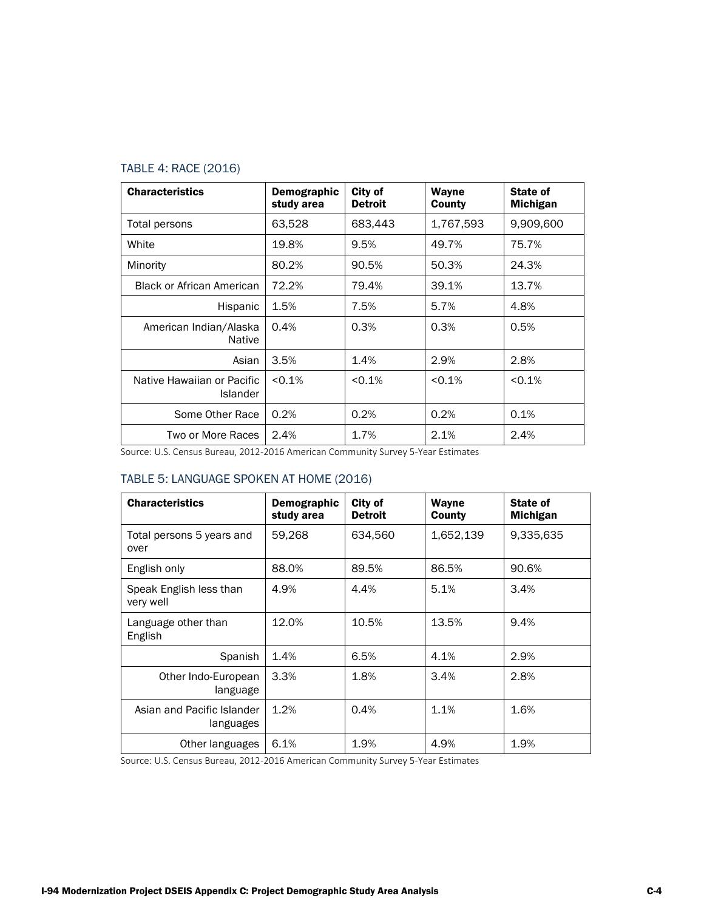## TABLE 4: RACE (2016)

| <b>Characteristics</b>                        | Demographic<br>study area | City of<br><b>Detroit</b> | Wayne<br>County | State of<br>Michigan |
|-----------------------------------------------|---------------------------|---------------------------|-----------------|----------------------|
| Total persons                                 | 63,528                    | 683,443                   | 1,767,593       | 9,909,600            |
| White                                         | 19.8%                     | 9.5%                      | 49.7%           | 75.7%                |
| Minority                                      | 80.2%                     | 90.5%                     | 50.3%           | 24.3%                |
| <b>Black or African American</b>              | 72.2%                     | 79.4%                     | 39.1%           | 13.7%                |
| Hispanic                                      | 1.5%                      | 7.5%                      | 5.7%            | 4.8%                 |
| American Indian/Alaska<br><b>Native</b>       | 0.4%                      | 0.3%                      | 0.3%            | 0.5%                 |
| Asian                                         | 3.5%                      | 1.4%                      | 2.9%            | 2.8%                 |
| Native Hawaiian or Pacific<br><b>Islander</b> | < 0.1%                    | < 0.1%                    | < 0.1%          | < 0.1%               |
| Some Other Race                               | 0.2%                      | 0.2%                      | 0.2%            | 0.1%                 |
| Two or More Races                             | 2.4%                      | 1.7%                      | 2.1%            | 2.4%                 |

Source: U.S. Census Bureau, 2012-2016 American Community Survey 5-Year Estimates

#### TABLE 5: LANGUAGE SPOKEN AT HOME (2016)

| <b>Characteristics</b>                  | Demographic<br>study area | City of<br><b>Detroit</b> | Wayne<br>County | State of<br><b>Michigan</b> |
|-----------------------------------------|---------------------------|---------------------------|-----------------|-----------------------------|
| Total persons 5 years and<br>over       | 59,268                    | 634,560                   | 1,652,139       | 9,335,635                   |
| English only                            | 88.0%                     | 89.5%                     | 86.5%           | 90.6%                       |
| Speak English less than<br>very well    | 4.9%                      | 4.4%                      | 5.1%            | 3.4%                        |
| Language other than<br>English          | 12.0%                     | 10.5%                     | 13.5%           | 9.4%                        |
| Spanish                                 | 1.4%                      | 6.5%                      | 4.1%            | 2.9%                        |
| Other Indo-European<br>language         | 3.3%                      | 1.8%                      | 3.4%            | 2.8%                        |
| Asian and Pacific Islander<br>languages | 1.2%                      | 0.4%                      | 1.1%            | 1.6%                        |
| Other languages                         | 6.1%                      | 1.9%                      | 4.9%            | 1.9%                        |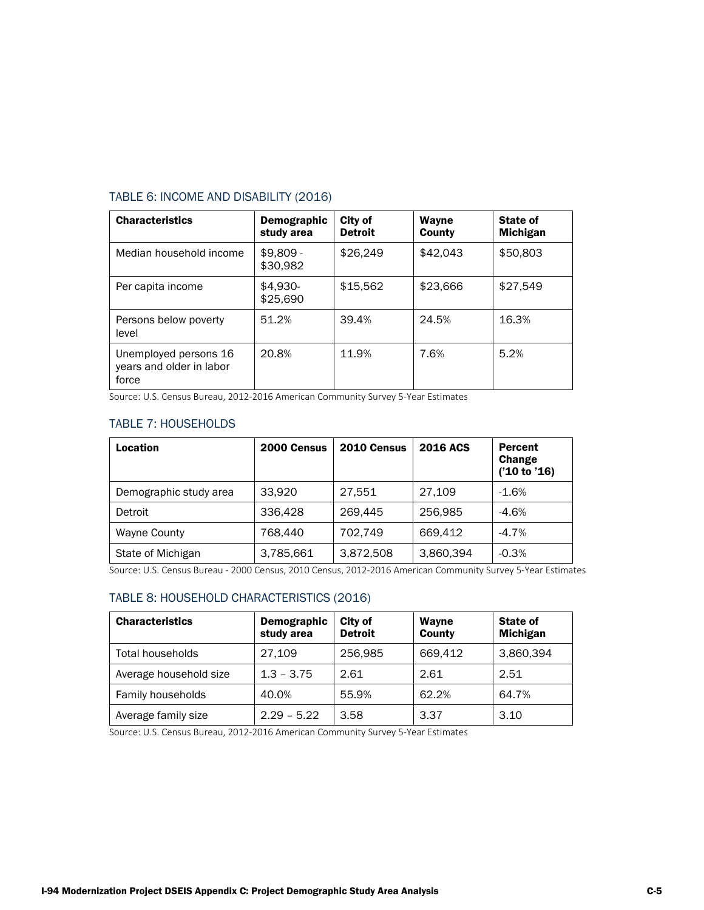#### TABLE 6: INCOME AND DISABILITY (2016)

| <b>Characteristics</b>                                     | Demographic<br>study area | City of<br><b>Detroit</b> | Wayne<br>County | <b>State of</b><br><b>Michigan</b> |
|------------------------------------------------------------|---------------------------|---------------------------|-----------------|------------------------------------|
| Median household income                                    | $$9.809 -$<br>\$30,982    | \$26,249                  | \$42,043        | \$50,803                           |
| Per capita income                                          | \$4,930-<br>\$25,690      | \$15,562                  | \$23,666        | \$27,549                           |
| Persons below poverty<br>level                             | 51.2%                     | 39.4%                     | 24.5%           | 16.3%                              |
| Unemployed persons 16<br>years and older in labor<br>force | 20.8%                     | 11.9%                     | 7.6%            | 5.2%                               |

Source: U.S. Census Bureau, 2012-2016 American Community Survey 5-Year Estimates

# TABLE 7: HOUSEHOLDS

| Location               | 2000 Census | 2010 Census | <b>2016 ACS</b> | Percent<br>Change<br>('10 to '16) |
|------------------------|-------------|-------------|-----------------|-----------------------------------|
| Demographic study area | 33,920      | 27,551      | 27,109          | $-1.6%$                           |
| Detroit                | 336.428     | 269.445     | 256.985         | $-4.6%$                           |
| <b>Wayne County</b>    | 768.440     | 702,749     | 669.412         | $-4.7%$                           |
| State of Michigan      | 3,785,661   | 3,872,508   | 3,860,394       | $-0.3%$                           |

Source: U.S. Census Bureau - 2000 Census, 2010 Census, 2012-2016 American Community Survey 5-Year Estimates

### TABLE 8: HOUSEHOLD CHARACTERISTICS (2016)

| <b>Characteristics</b> | Demographic<br>study area | City of<br><b>Detroit</b> | Wayne<br>County | <b>State of</b><br><b>Michigan</b> |
|------------------------|---------------------------|---------------------------|-----------------|------------------------------------|
| Total households       | 27.109                    | 256,985                   | 669,412         | 3,860,394                          |
| Average household size | $1.3 - 3.75$              | 2.61                      | 2.61            | 2.51                               |
| Family households      | 40.0%                     | 55.9%                     | 62.2%           | 64.7%                              |
| Average family size    | $2.29 - 5.22$             | 3.58                      | 3.37            | 3.10                               |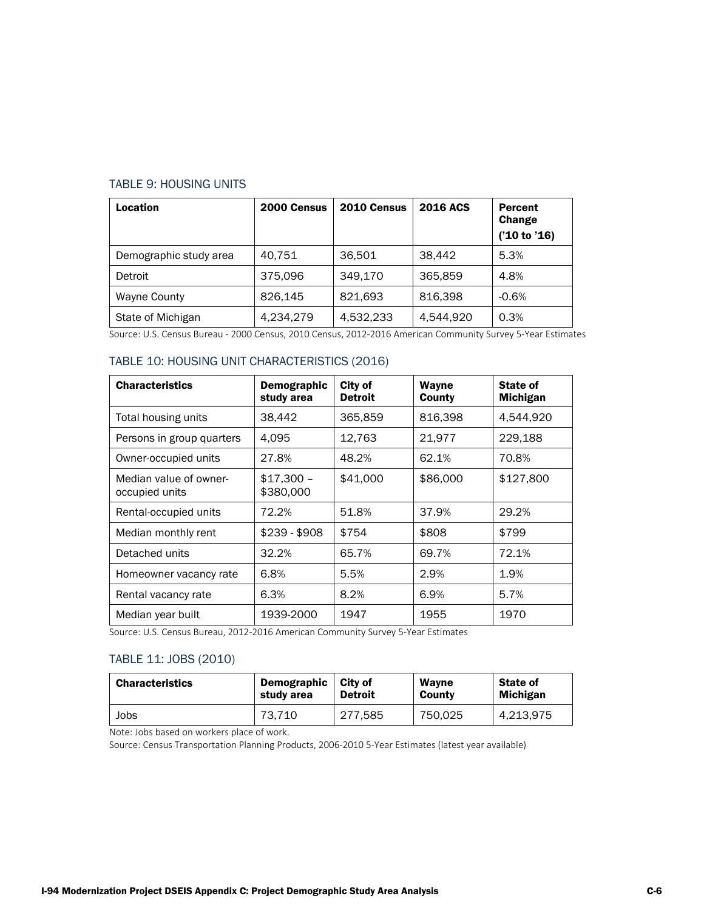#### TABLE 9: HOUSING UNITS

| Location               | 2000 Census | 2010 Census | <b>2016 ACS</b> | <b>Percent</b><br>Change<br>('10 to '16) |
|------------------------|-------------|-------------|-----------------|------------------------------------------|
| Demographic study area | 40.751      | 36,501      | 38.442          | 5.3%                                     |
| Detroit                | 375,096     | 349.170     | 365,859         | 4.8%                                     |
| <b>Wayne County</b>    | 826.145     | 821,693     | 816.398         | $-0.6%$                                  |
| State of Michigan      | 4,234,279   | 4,532,233   | 4,544,920       | 0.3%                                     |

Source: U.S. Census Bureau - 2000 Census, 2010 Census, 2012-2016 American Community Survey 5-Year Estimates

#### TABLE 10: HOUSING UNIT CHARACTERISTICS (2016)

| <b>Characteristics</b>                   | Demographic<br>study area | City of<br><b>Detroit</b> | Wayne<br>County | State of<br><b>Michigan</b> |
|------------------------------------------|---------------------------|---------------------------|-----------------|-----------------------------|
| Total housing units                      | 38,442                    | 365,859                   | 816,398         | 4,544,920                   |
| Persons in group quarters                | 4,095                     | 12,763                    | 21,977          | 229,188                     |
| Owner-occupied units                     | 27.8%                     | 48.2%                     | 62.1%           | 70.8%                       |
| Median value of owner-<br>occupied units | $$17,300 -$<br>\$380,000  | \$41,000                  | \$86,000        | \$127,800                   |
| Rental-occupied units                    | 72.2%                     | 51.8%                     | 37.9%           | 29.2%                       |
| Median monthly rent                      | $$239 - $908$             | \$754                     | \$808           | \$799                       |
| Detached units                           | 32.2%                     | 65.7%                     | 69.7%           | 72.1%                       |
| Homeowner vacancy rate                   | 6.8%                      | 5.5%                      | 2.9%            | 1.9%                        |
| Rental vacancy rate                      | 6.3%                      | 8.2%                      | 6.9%            | 5.7%                        |
| Median year built                        | 1939-2000                 | 1947                      | 1955            | 1970                        |

Source: U.S. Census Bureau, 2012-2016 American Community Survey 5-Year Estimates

#### TABLE 11: JOBS (2010)

| <b>Characteristics</b> | Demographic | City of        | <b>Wavne</b> | <b>State of</b> |
|------------------------|-------------|----------------|--------------|-----------------|
|                        | study area  | <b>Detroit</b> | County       | <b>Michigan</b> |
| Jobs                   | 73.710      | 277.585        | 750.025      | 4,213,975       |

Note: Jobs based on workers place of work.

Source: Census Transportation Planning Products, 2006-2010 5-Year Estimates (latest year available)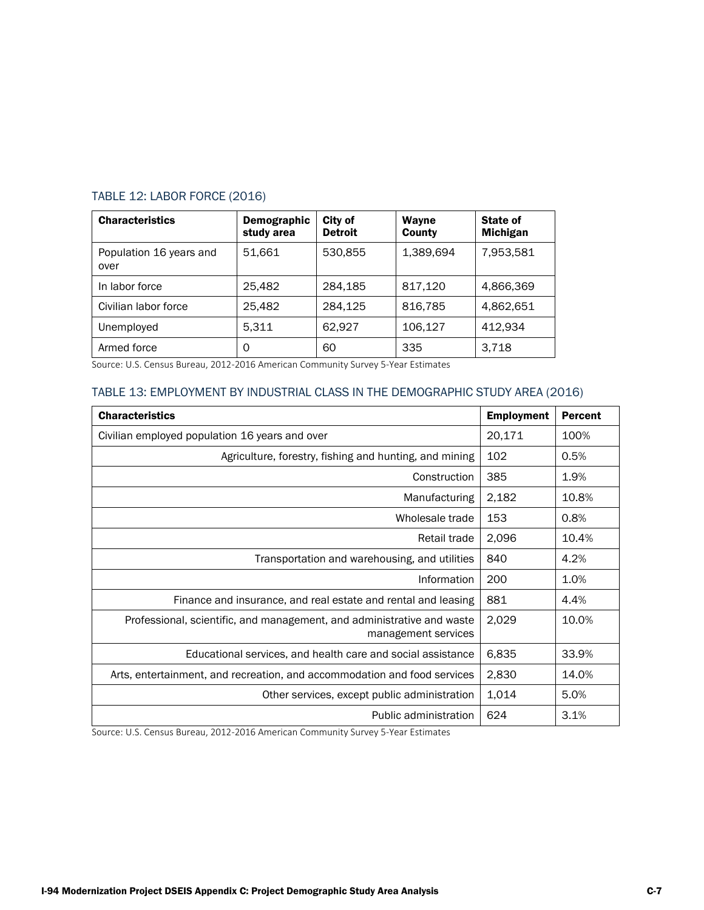| <b>Characteristics</b>          | Demographic<br>study area | City of<br><b>Detroit</b> | Wayne<br>County | State of<br><b>Michigan</b> |
|---------------------------------|---------------------------|---------------------------|-----------------|-----------------------------|
| Population 16 years and<br>over | 51.661                    | 530,855                   | 1,389,694       | 7,953,581                   |
| In labor force                  | 25.482                    | 284.185                   | 817,120         | 4,866,369                   |
| Civilian labor force            | 25.482                    | 284.125                   | 816,785         | 4,862,651                   |
| Unemployed                      | 5.311                     | 62.927                    | 106,127         | 412.934                     |
| Armed force                     | 0                         | 60                        | 335             | 3,718                       |

# TABLE 12: LABOR FORCE (2016)

Source: U.S. Census Bureau, 2012-2016 American Community Survey 5-Year Estimates

#### TABLE 13: EMPLOYMENT BY INDUSTRIAL CLASS IN THE DEMOGRAPHIC STUDY AREA (2016)

| <b>Characteristics</b>                                                                        | <b>Employment</b> | <b>Percent</b> |
|-----------------------------------------------------------------------------------------------|-------------------|----------------|
| Civilian employed population 16 years and over                                                | 20,171            | 100%           |
| Agriculture, forestry, fishing and hunting, and mining                                        | 102               | 0.5%           |
| Construction                                                                                  | 385               | 1.9%           |
| Manufacturing                                                                                 | 2,182             | 10.8%          |
| Wholesale trade                                                                               | 153               | 0.8%           |
| Retail trade                                                                                  | 2,096             | 10.4%          |
| Transportation and warehousing, and utilities                                                 | 840               | 4.2%           |
| Information                                                                                   | 200               | 1.0%           |
| Finance and insurance, and real estate and rental and leasing                                 | 881               | 4.4%           |
| Professional, scientific, and management, and administrative and waste<br>management services | 2,029             | 10.0%          |
| Educational services, and health care and social assistance                                   | 6,835             | 33.9%          |
| Arts, entertainment, and recreation, and accommodation and food services                      | 2,830             | 14.0%          |
| Other services, except public administration                                                  | 1,014             | 5.0%           |
| Public administration                                                                         | 624               | 3.1%           |